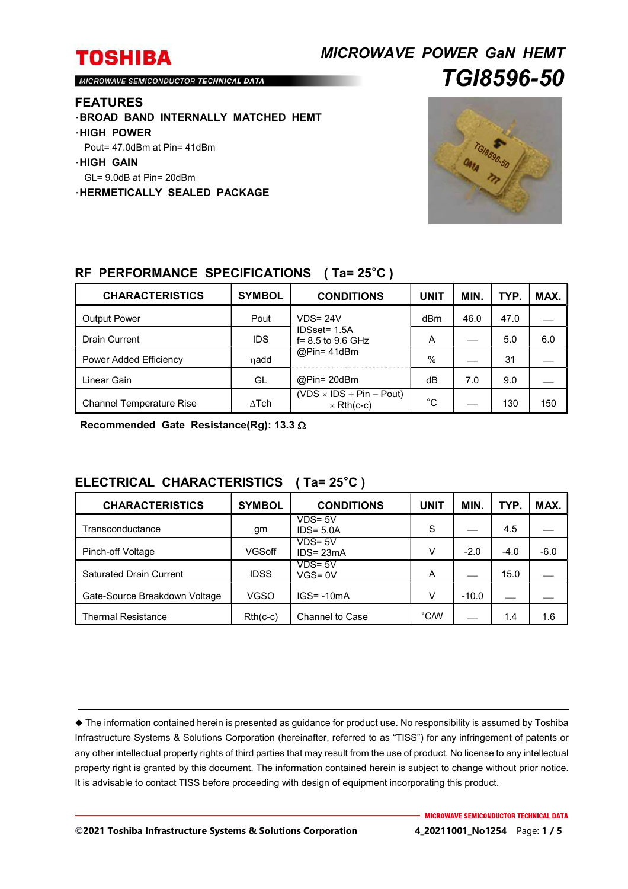## *MICROWAVE POWER GaN HEMT TGI8596-50*

MICROWAVE SEMICONDUCTOR TECHNICAL DATA

#### **FEATURES**

- ・**BROAD BAND INTERNALLY MATCHED HEMT**
- ・**HIGH POWER**
- Pout= 47.0dBm at Pin= 41dBm
- ・**HIGH GAIN**
- GL= 9.0dB at Pin= 20dBm
- ・**HERMETICALLY SEALED PACKAGE**



## **RF PERFORMANCE SPECIFICATIONS ( Ta= 25**°**C )**

| <b>CHARACTERISTICS</b>          | <b>SYMBOL</b> | <b>CONDITIONS</b>                                    | <b>UNIT</b> | <b>MIN</b> | TYP. | MAX. |
|---------------------------------|---------------|------------------------------------------------------|-------------|------------|------|------|
| <b>Output Power</b>             | Pout          | $VDS = 24V$                                          | dBm         | 46.0       | 47.0 |      |
| <b>Drain Current</b>            | <b>IDS</b>    | IDSset= 1.5A<br>f= 8.5 to 9.6 GHz                    | A           |            | 5.0  | 6.0  |
| Power Added Efficiency          | ηadd          | $@Pin=41dBm$                                         | %           |            | 31   |      |
| Linear Gain                     | GL            | $@Pin=20dBm$                                         | dВ          | 7.0        | 9.0  |      |
| <b>Channel Temperature Rise</b> | $\Delta$ Tch  | $(VDS \times IDs + Pin - Pout)$<br>$\times$ Rth(c-c) | °С          |            | 130  | 150  |

**Recommended Gate Resistance(Rg): 13.3** 

### **ELECTRICAL CHARACTERISTICS ( Ta= 25**°**C )**

| <b>CHARACTERISTICS</b>         | <b>SYMBOL</b> | <b>CONDITIONS</b>          | UNIT          | MIN.    | TYP.   | MAX.   |
|--------------------------------|---------------|----------------------------|---------------|---------|--------|--------|
| Transconductance               | gm            | $VDS = 5V$<br>$IDS = 5.0A$ | S             |         | 4.5    |        |
| Pinch-off Voltage              | VGSoff        | $VDS = 5V$<br>$IDS = 23mA$ | V             | $-2.0$  | $-4.0$ | $-6.0$ |
| <b>Saturated Drain Current</b> | <b>IDSS</b>   | $VDS = 5V$<br>$VGS = 0V$   | A             |         | 15.0   |        |
| Gate-Source Breakdown Voltage  | <b>VGSO</b>   | $IGS = -10mA$              | V             | $-10.0$ |        |        |
| <b>Thermal Resistance</b>      | $Rth(c-c)$    | <b>Channel to Case</b>     | $^{\circ}$ CM |         | 1.4    | 1.6    |

 The information contained herein is presented as guidance for product use. No responsibility is assumed by Toshiba Infrastructure Systems & Solutions Corporation (hereinafter, referred to as "TISS") for any infringement of patents or any other intellectual property rights of third parties that may result from the use of product. No license to any intellectual property right is granted by this document. The information contained herein is subject to change without prior notice. It is advisable to contact TISS before proceeding with design of equipment incorporating this product.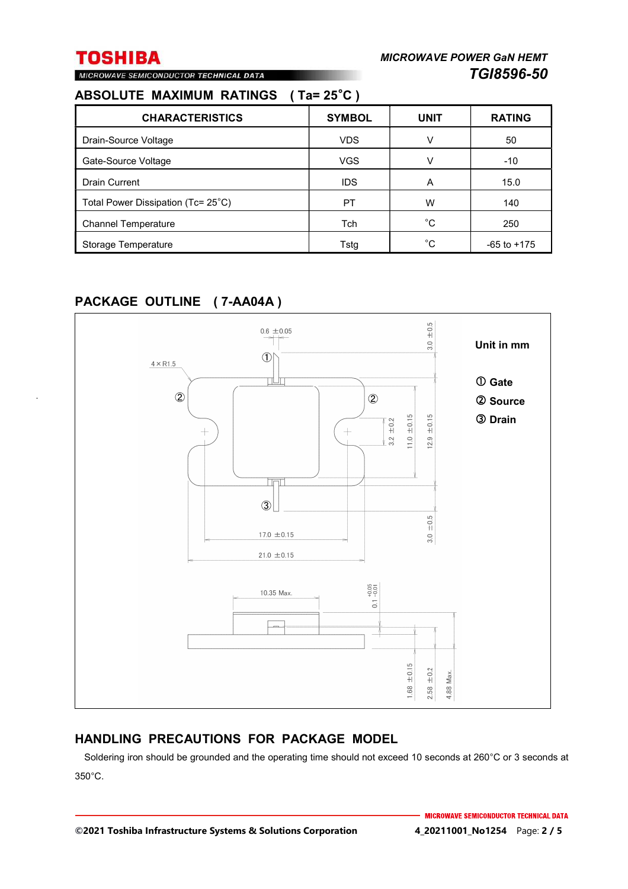## MICROWAVE SEMICONDUCTOR TECHNICAL DATA

## **ABSOLUTE MAXIMUM RATINGS ( Ta= 25**°**C )**

| <b>CHARACTERISTICS</b>             | <b>SYMBOL</b> | <b>UNIT</b>  | <b>RATING</b>   |
|------------------------------------|---------------|--------------|-----------------|
| Drain-Source Voltage               | <b>VDS</b>    | v            | 50              |
| Gate-Source Voltage                | <b>VGS</b>    |              | $-10$           |
| <b>Drain Current</b>               | <b>IDS</b>    | A            | 15.0            |
| Total Power Dissipation (Tc= 25°C) | PT            | w            | 140             |
| <b>Channel Temperature</b>         | Tch           | $^{\circ}$ C | 250             |
| Storage Temperature                | Tstg          | °C           | $-65$ to $+175$ |

## **PACKAGE OUTLINE ( 7-AA04A )**



### **HANDLING PRECAUTIONS FOR PACKAGE MODEL**

Soldering iron should be grounded and the operating time should not exceed 10 seconds at 260°C or 3 seconds at 350°C.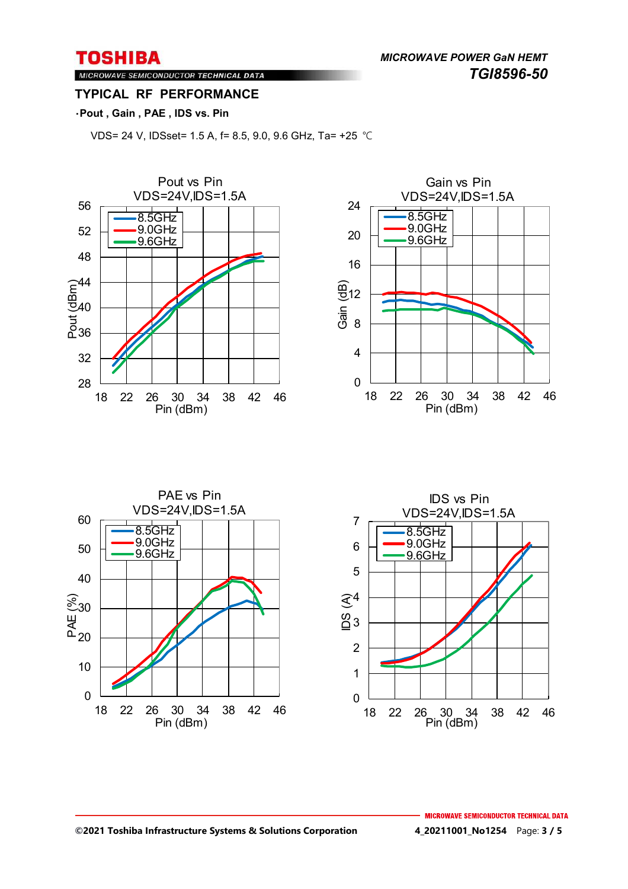*MICROWAVE POWER GaN HEMT TGI8596-50* 

#### MICROWAVE SEMICONDUCTOR TECHNICAL DATA **TYPICAL RF PERFORMANCE**

#### ・**Pout , Gain , PAE , IDS vs. Pin**

VDS= 24 V, IDSset= 1.5 A, f= 8.5, 9.0, 9.6 GHz, Ta= +25 ℃







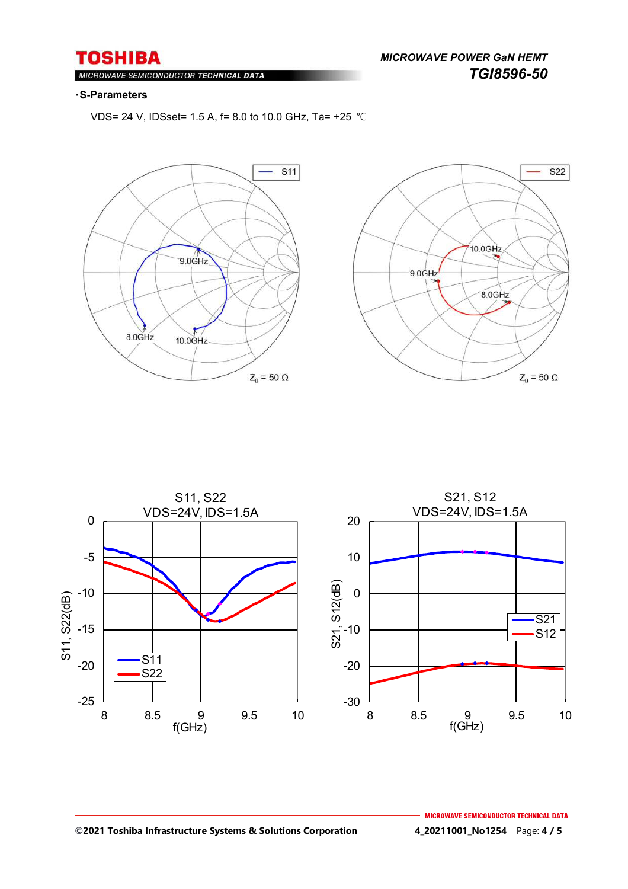*MICROWAVE POWER GaN HEMT TGI8596-50* 

#### MIC ROWAVE SEMICONDUCTOR TECHNICAL DATA

#### ・**S-Parameters**

VDS= 24 V, IDSset= 1.5 A, f= 8.0 to 10.0 GHz, Ta= +25 ℃